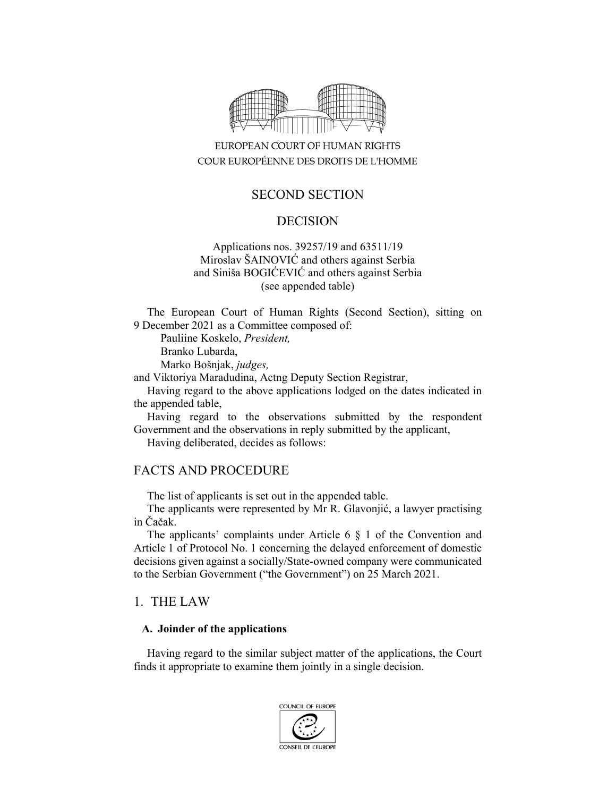

# EUROPEAN COURT OF HUMAN RIGHTS COUR EUROPÉENNE DES DROITS DE L'HOMME

# SECOND SECTION

## DECISION

### Applications nos. 39257/19 and 63511/19 Miroslav ŠAINOVIĆ and others against Serbia and Siniša BOGIĆEVIĆ and others against Serbia (see appended table)

The European Court of Human Rights (Second Section), sitting on 9 December 2021 as a Committee composed of:

Pauliine Koskelo, *President,* 

Branko Lubarda,

Marko Bošnjak, *judges,* 

and Viktoriya Maradudina, Actng Deputy Section Registrar,

Having regard to the above applications lodged on the dates indicated in the appended table,

Having regard to the observations submitted by the respondent Government and the observations in reply submitted by the applicant,

Having deliberated, decides as follows:

## FACTS AND PROCEDURE

The list of applicants is set out in the appended table.

The applicants were represented by Mr R. Glavonjić, a lawyer practising in Čačak.

The applicants' complaints under Article 6 § 1 of the Convention and Article 1 of Protocol No. 1 concerning the delayed enforcement of domestic decisions given against a socially/State-owned company were communicated to the Serbian Government ("the Government") on 25 March 2021.

### 1. THE LAW

#### **A. Joinder of the applications**

Having regard to the similar subject matter of the applications, the Court finds it appropriate to examine them jointly in a single decision.

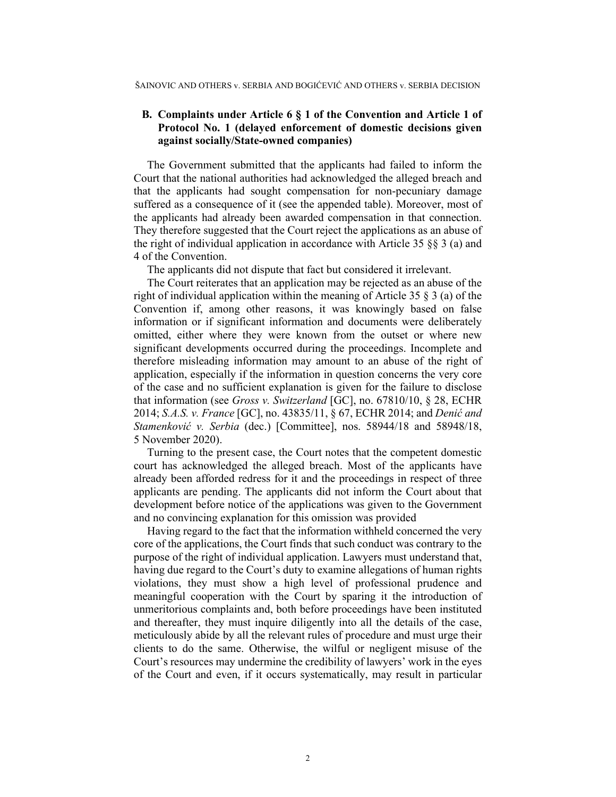### **B. Complaints under Article 6 § 1 of the Convention and Article 1 of Protocol No. 1 (delayed enforcement of domestic decisions given against socially/State-owned companies)**

The Government submitted that the applicants had failed to inform the Court that the national authorities had acknowledged the alleged breach and that the applicants had sought compensation for non-pecuniary damage suffered as a consequence of it (see the appended table). Moreover, most of the applicants had already been awarded compensation in that connection. They therefore suggested that the Court reject the applications as an abuse of the right of individual application in accordance with Article 35 §§ 3 (a) and 4 of the Convention.

The applicants did not dispute that fact but considered it irrelevant.

The Court reiterates that an application may be rejected as an abuse of the right of individual application within the meaning of Article 35 § 3 (a) of the Convention if, among other reasons, it was knowingly based on false information or if significant information and documents were deliberately omitted, either where they were known from the outset or where new significant developments occurred during the proceedings. Incomplete and therefore misleading information may amount to an abuse of the right of application, especially if the information in question concerns the very core of the case and no sufficient explanation is given for the failure to disclose that information (see *Gross v. Switzerland* [GC], no. 67810/10, § 28, ECHR 2014; *S.A.S. v. France* [GC], no. 43835/11, § 67, ECHR 2014; and *Denić and Stamenković v. Serbia* (dec.) [Committee], nos. 58944/18 and 58948/18, 5 November 2020).

Turning to the present case, the Court notes that the competent domestic court has acknowledged the alleged breach. Most of the applicants have already been afforded redress for it and the proceedings in respect of three applicants are pending. The applicants did not inform the Court about that development before notice of the applications was given to the Government and no convincing explanation for this omission was provided

Having regard to the fact that the information withheld concerned the very core of the applications, the Court finds that such conduct was contrary to the purpose of the right of individual application. Lawyers must understand that, having due regard to the Court's duty to examine allegations of human rights violations, they must show a high level of professional prudence and meaningful cooperation with the Court by sparing it the introduction of unmeritorious complaints and, both before proceedings have been instituted and thereafter, they must inquire diligently into all the details of the case, meticulously abide by all the relevant rules of procedure and must urge their clients to do the same. Otherwise, the wilful or negligent misuse of the Court's resources may undermine the credibility of lawyers' work in the eyes of the Court and even, if it occurs systematically, may result in particular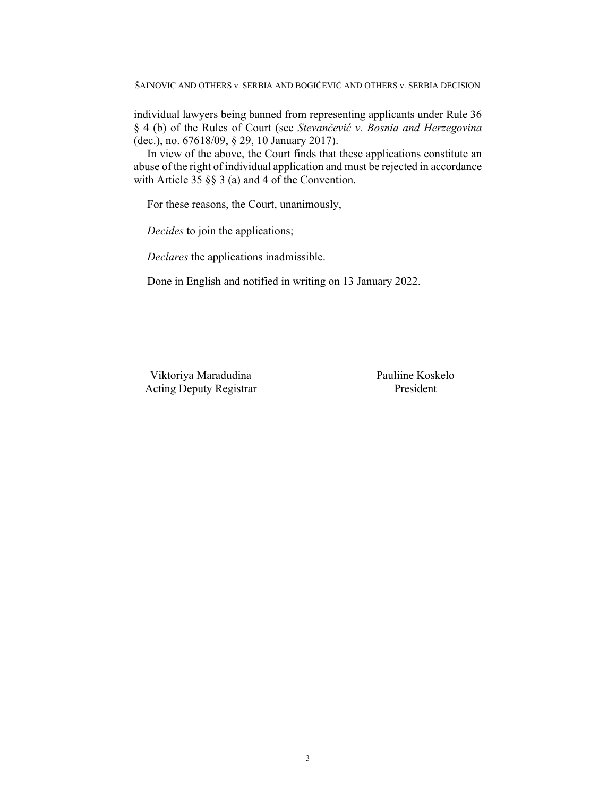ŠAINOVIC AND OTHERS v. SERBIA AND BOGIĆEVIĆ AND OTHERS v. SERBIA DECISION

individual lawyers being banned from representing applicants under Rule 36 § 4 (b) of the Rules of Court (see *Stevančević v. Bosnia and Herzegovina* (dec.), no. 67618/09, § 29, 10 January 2017).

In view of the above, the Court finds that these applications constitute an abuse of the right of individual application and must be rejected in accordance with Article 35 §§ 3 (a) and 4 of the Convention.

For these reasons, the Court, unanimously,

*Decides* to join the applications;

*Declares* the applications inadmissible.

Done in English and notified in writing on 13 January 2022.

Viktoriya Maradudina Pauliine Koskelo Acting Deputy Registrar President